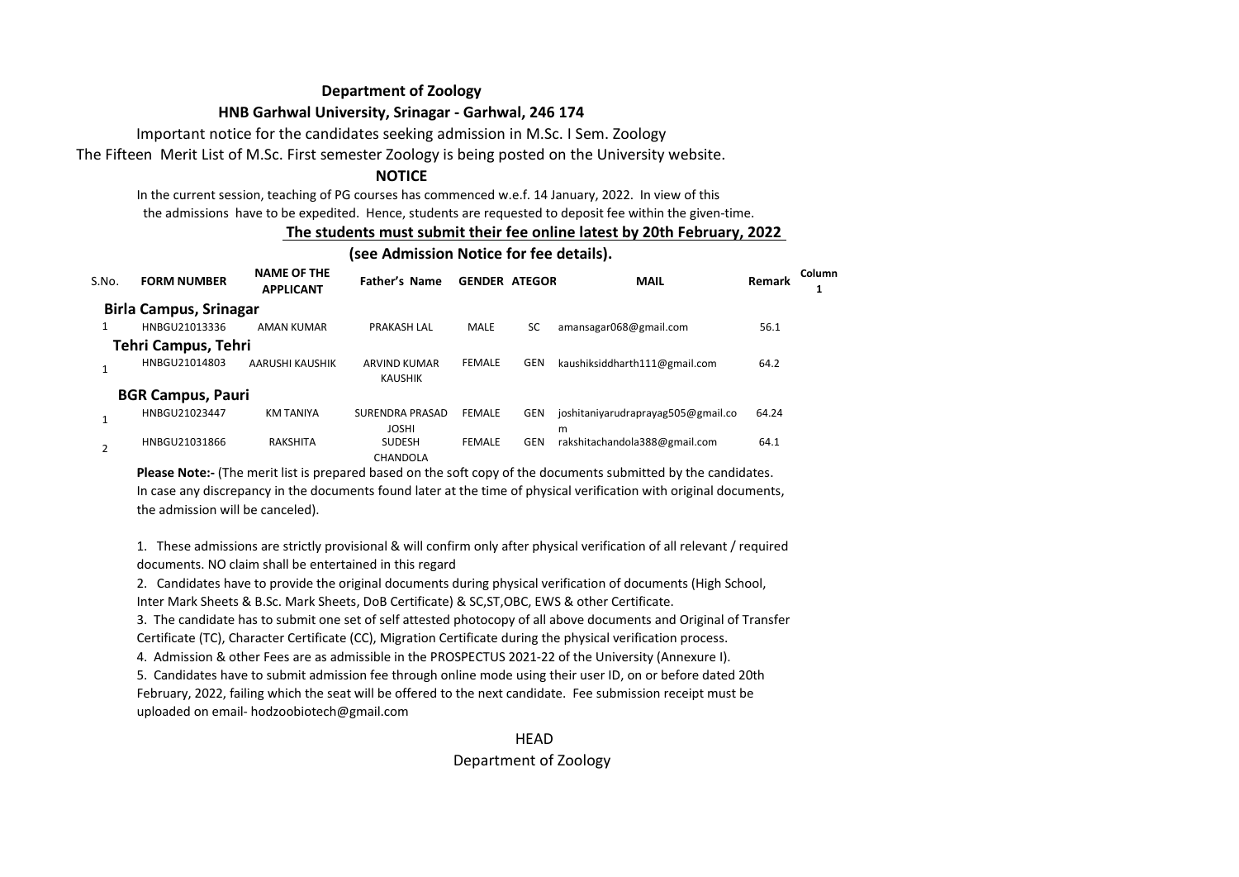# **Department of Zoology**

## **HNB Garhwal University, Srinagar - Garhwal, 246 174**

Important notice for the candidates seeking admission in M.Sc. I Sem. Zoology

The Fifteen Merit List of M.Sc. First semester Zoology is being posted on the University website.

# **NOTICE**

In the current session, teaching of PG courses has commenced w.e.f. 14 January, 2022. In view of this the admissions have to be expedited. Hence, students are requested to deposit fee within the given-time.

### **The students must submit their fee online latest by 20th February, 2022**

#### **(see Admission Notice for fee details).**

| S.No. | <b>FORM NUMBER</b>            | <b>NAME OF THE</b><br><b>APPLICANT</b> | Father's Name                          | <b>GENDER ATEGOR</b> |            | <b>MAIL</b>                             | Remark | Column |
|-------|-------------------------------|----------------------------------------|----------------------------------------|----------------------|------------|-----------------------------------------|--------|--------|
|       | <b>Birla Campus, Srinagar</b> |                                        |                                        |                      |            |                                         |        |        |
| 1     | HNBGU21013336                 | AMAN KUMAR                             | <b>PRAKASH LAL</b>                     | <b>MALE</b>          | SC         | amansagar068@gmail.com                  | 56.1   |        |
|       | Tehri Campus, Tehri           |                                        |                                        |                      |            |                                         |        |        |
|       | HNBGU21014803                 | AARUSHI KAUSHIK                        | <b>ARVIND KUMAR</b><br><b>KAUSHIK</b>  | <b>FEMALE</b>        | <b>GEN</b> | kaushiksiddharth111@gmail.com           | 64.2   |        |
|       | <b>BGR Campus, Pauri</b>      |                                        |                                        |                      |            |                                         |        |        |
|       | HNBGU21023447                 | <b>KM TANIYA</b>                       | <b>SURENDRA PRASAD</b><br><b>JOSHI</b> | <b>FEMALE</b>        | <b>GEN</b> | joshitaniyarudraprayag505@gmail.co<br>m | 64.24  |        |
|       | HNBGU21031866                 | RAKSHITA                               | <b>SUDESH</b><br>CHANDOLA              | <b>FEMALE</b>        | <b>GEN</b> | rakshitachandola388@gmail.com           | 64.1   |        |

**Please Note:-** (The merit list is prepared based on the soft copy of the documents submitted by the candidates. In case any discrepancy in the documents found later at the time of physical verification with original documents, the admission will be canceled).

1. These admissions are strictly provisional & will confirm only after physical verification of all relevant / required documents. NO claim shall be entertained in this regard

2. Candidates have to provide the original documents during physical verification of documents (High School, Inter Mark Sheets & B.Sc. Mark Sheets, DoB Certificate) & SC,ST,OBC, EWS & other Certificate.

3. The candidate has to submit one set of self attested photocopy of all above documents and Original of Transfer Certificate (TC), Character Certificate (CC), Migration Certificate during the physical verification process.

4. Admission & other Fees are as admissible in the PROSPECTUS 2021-22 of the University (Annexure I).

5. Candidates have to submit admission fee through online mode using their user ID, on or before dated 20th February, 2022, failing which the seat will be offered to the next candidate. Fee submission receipt must be uploaded on email- hodzoobiotech@gmail.com

> **HFAD** Department of Zoology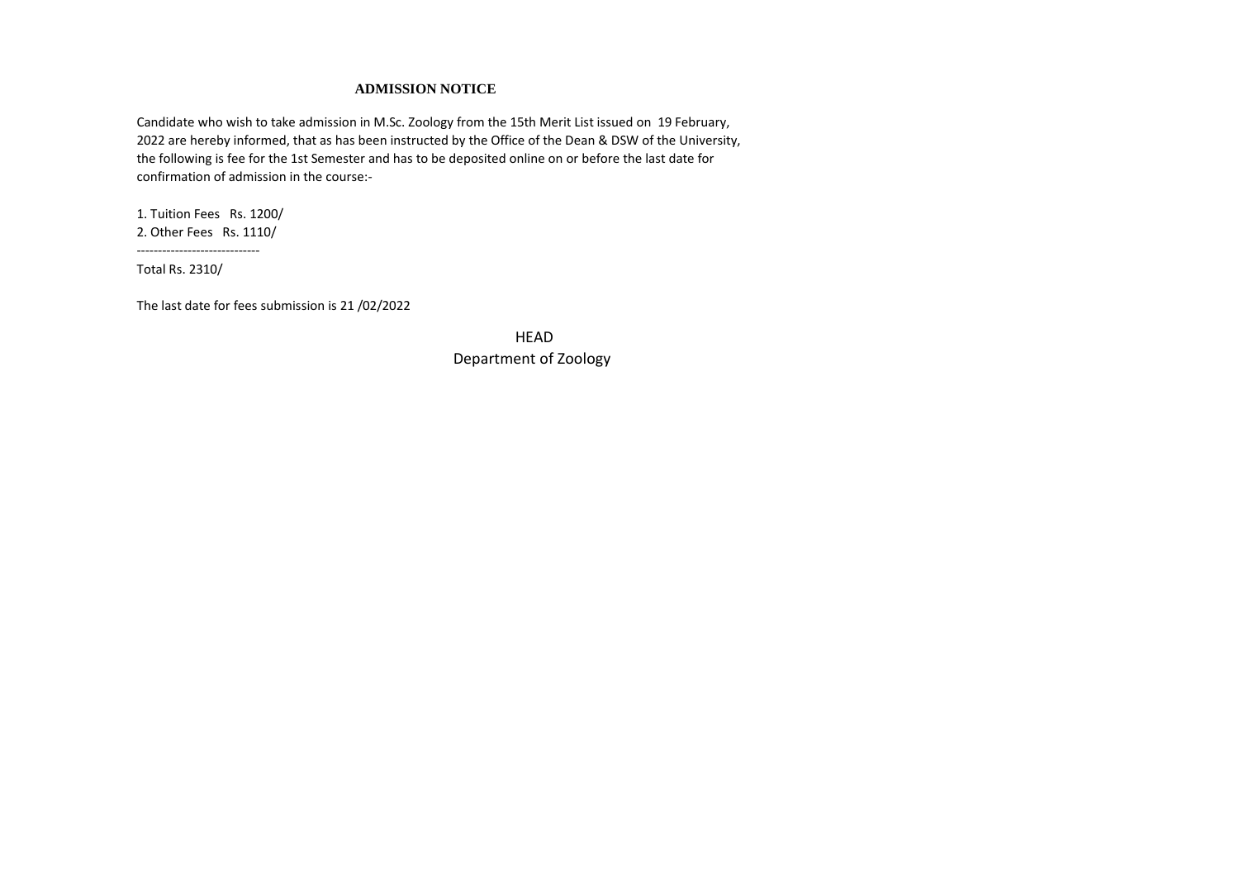#### **ADMISSION NOTICE**

Candidate who wish to take admission in M.Sc. Zoology from the 15th Merit List issued on 19 February, 2022 are hereby informed, that as has been instructed by the Office of the Dean & DSW of the University, the following is fee for the 1st Semester and has to be deposited online on or before the last date for confirmation of admission in the course:-

1. Tuition Fees Rs. 1200/ 2. Other Fees Rs. 1110/

-----------------------------

Total Rs. 2310/

The last date for fees submission is 21 /02/2022

**HFAD** Department of Zoology